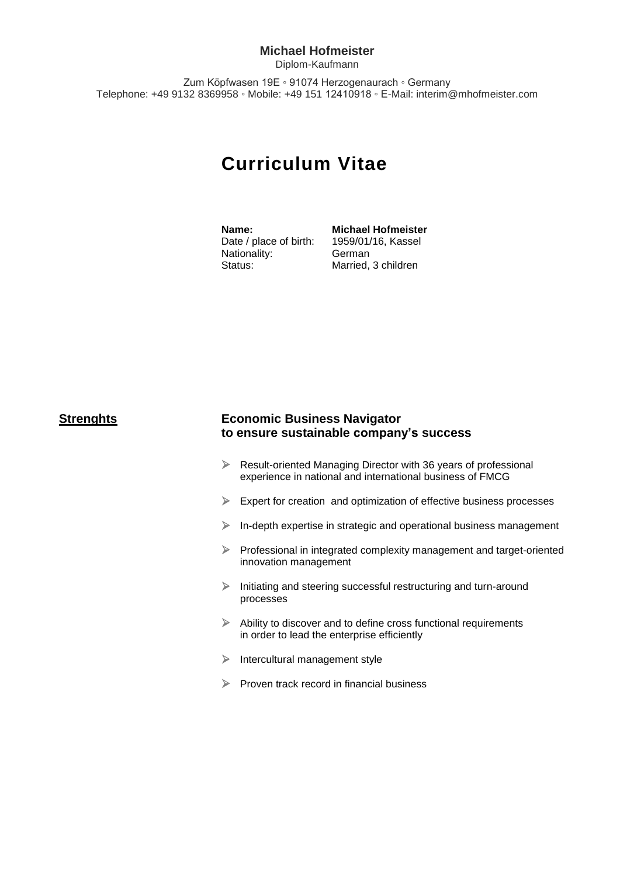### **Michael Hofmeister**

Diplom-Kaufmann

Zum Köpfwasen 19E ◦ 91074 Herzogenaurach ◦ Germany Telephone: +49 9132 8369958 ◦ Mobile: +49 151 12410918 ◦ E-Mail: interim@mhofmeister.com

# **Curriculum Vitae**

Date / place of birth: Nationality: German Status: Married, 3 children

**Name: Michael Hofmeister**<br>Date / place of birth: 1959/01/16, Kassel

## **Strenghts Economic Business Navigator to ensure sustainable company's success**

- Result-oriented Managing Director with 36 years of professional experience in national and international business of FMCG
- $\triangleright$  Expert for creation and optimization of effective business processes
- $\triangleright$  In-depth expertise in strategic and operational business management
- $\triangleright$  Professional in integrated complexity management and target-oriented innovation management
- $\triangleright$  Initiating and steering successful restructuring and turn-around processes
- $\triangleright$  Ability to discover and to define cross functional requirements in order to lead the enterprise efficiently
- $\triangleright$  Intercultural management style
- $\triangleright$  Proven track record in financial business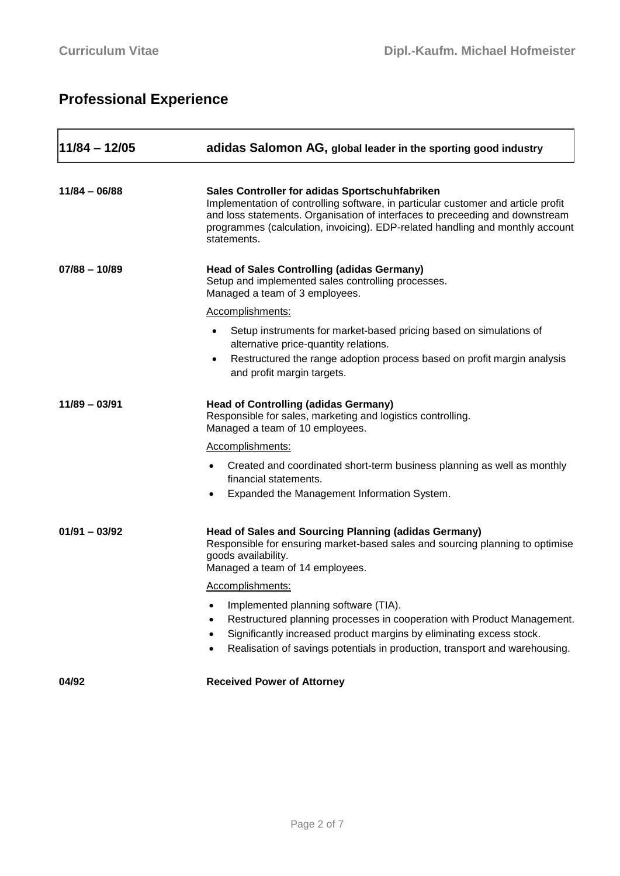# **Professional Experience**

| 11/84 – 12/05   | adidas Salomon AG, global leader in the sporting good industry                                                                                                                                                                                                                                                      |  |  |  |
|-----------------|---------------------------------------------------------------------------------------------------------------------------------------------------------------------------------------------------------------------------------------------------------------------------------------------------------------------|--|--|--|
| $11/84 - 06/88$ | Sales Controller for adidas Sportschuhfabriken<br>Implementation of controlling software, in particular customer and article profit<br>and loss statements. Organisation of interfaces to preceeding and downstream<br>programmes (calculation, invoicing). EDP-related handling and monthly account<br>statements. |  |  |  |
| $07/88 - 10/89$ | <b>Head of Sales Controlling (adidas Germany)</b><br>Setup and implemented sales controlling processes.<br>Managed a team of 3 employees.                                                                                                                                                                           |  |  |  |
|                 | Accomplishments:                                                                                                                                                                                                                                                                                                    |  |  |  |
|                 | Setup instruments for market-based pricing based on simulations of<br>alternative price-quantity relations.                                                                                                                                                                                                         |  |  |  |
|                 | Restructured the range adoption process based on profit margin analysis<br>and profit margin targets.                                                                                                                                                                                                               |  |  |  |
| $11/89 - 03/91$ | <b>Head of Controlling (adidas Germany)</b><br>Responsible for sales, marketing and logistics controlling.<br>Managed a team of 10 employees.                                                                                                                                                                       |  |  |  |
|                 | Accomplishments:                                                                                                                                                                                                                                                                                                    |  |  |  |
|                 | Created and coordinated short-term business planning as well as monthly<br>$\bullet$<br>financial statements.<br>Expanded the Management Information System.                                                                                                                                                        |  |  |  |
| $01/91 - 03/92$ | <b>Head of Sales and Sourcing Planning (adidas Germany)</b><br>Responsible for ensuring market-based sales and sourcing planning to optimise<br>goods availability.<br>Managed a team of 14 employees.                                                                                                              |  |  |  |
|                 | Accomplishments:                                                                                                                                                                                                                                                                                                    |  |  |  |
|                 | Implemented planning software (TIA).<br>$\bullet$<br>Restructured planning processes in cooperation with Product Management.<br>Significantly increased product margins by eliminating excess stock.<br>Realisation of savings potentials in production, transport and warehousing.                                 |  |  |  |
| 04/92           | <b>Received Power of Attorney</b>                                                                                                                                                                                                                                                                                   |  |  |  |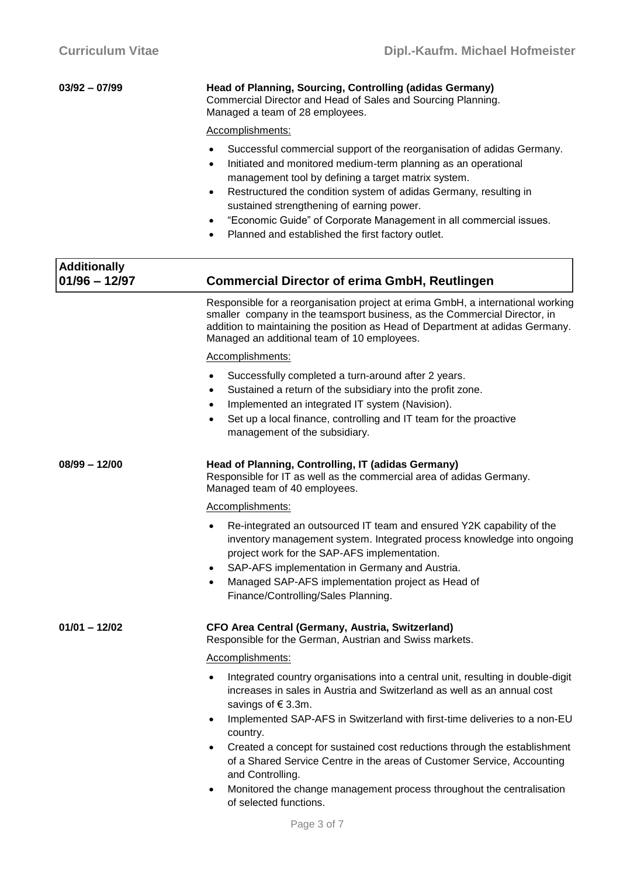| 03/92 - 07/99 | Head of Planning, Sourcing, Controlling (adidas Germany)     |
|---------------|--------------------------------------------------------------|
|               | Commercial Director and Head of Sales and Sourcing Planning. |
|               | Managed a team of 28 employees.                              |

- Successful commercial support of the reorganisation of adidas Germany.
- Initiated and monitored medium-term planning as an operational management tool by defining a target matrix system.
- Restructured the condition system of adidas Germany, resulting in sustained strengthening of earning power.
- "Economic Guide" of Corporate Management in all commercial issues.
- Planned and established the first factory outlet.

| <b>Commercial Director of erima GmbH, Reutlingen</b>                                                                                                                                                                                                                                                                                                                                                                                                                                                                                                                                   |  |  |  |
|----------------------------------------------------------------------------------------------------------------------------------------------------------------------------------------------------------------------------------------------------------------------------------------------------------------------------------------------------------------------------------------------------------------------------------------------------------------------------------------------------------------------------------------------------------------------------------------|--|--|--|
| Responsible for a reorganisation project at erima GmbH, a international working<br>smaller company in the teamsport business, as the Commercial Director, in<br>addition to maintaining the position as Head of Department at adidas Germany.<br>Managed an additional team of 10 employees.                                                                                                                                                                                                                                                                                           |  |  |  |
| Accomplishments:                                                                                                                                                                                                                                                                                                                                                                                                                                                                                                                                                                       |  |  |  |
| Successfully completed a turn-around after 2 years.<br>$\bullet$<br>Sustained a return of the subsidiary into the profit zone.<br>٠<br>Implemented an integrated IT system (Navision).<br>Set up a local finance, controlling and IT team for the proactive<br>$\bullet$<br>management of the subsidiary.                                                                                                                                                                                                                                                                              |  |  |  |
| Head of Planning, Controlling, IT (adidas Germany)<br>Responsible for IT as well as the commercial area of adidas Germany.<br>Managed team of 40 employees.                                                                                                                                                                                                                                                                                                                                                                                                                            |  |  |  |
| Accomplishments:                                                                                                                                                                                                                                                                                                                                                                                                                                                                                                                                                                       |  |  |  |
| Re-integrated an outsourced IT team and ensured Y2K capability of the<br>$\bullet$<br>inventory management system. Integrated process knowledge into ongoing<br>project work for the SAP-AFS implementation.<br>SAP-AFS implementation in Germany and Austria.<br>$\bullet$<br>Managed SAP-AFS implementation project as Head of<br>$\bullet$<br>Finance/Controlling/Sales Planning.                                                                                                                                                                                                   |  |  |  |
| CFO Area Central (Germany, Austria, Switzerland)<br>Responsible for the German, Austrian and Swiss markets.                                                                                                                                                                                                                                                                                                                                                                                                                                                                            |  |  |  |
| Accomplishments:                                                                                                                                                                                                                                                                                                                                                                                                                                                                                                                                                                       |  |  |  |
| Integrated country organisations into a central unit, resulting in double-digit<br>$\bullet$<br>increases in sales in Austria and Switzerland as well as an annual cost<br>savings of €3.3m.<br>Implemented SAP-AFS in Switzerland with first-time deliveries to a non-EU<br>$\bullet$<br>country.<br>Created a concept for sustained cost reductions through the establishment<br>of a Shared Service Centre in the areas of Customer Service, Accounting<br>and Controlling.<br>Monitored the change management process throughout the centralisation<br>٠<br>of selected functions. |  |  |  |
|                                                                                                                                                                                                                                                                                                                                                                                                                                                                                                                                                                                        |  |  |  |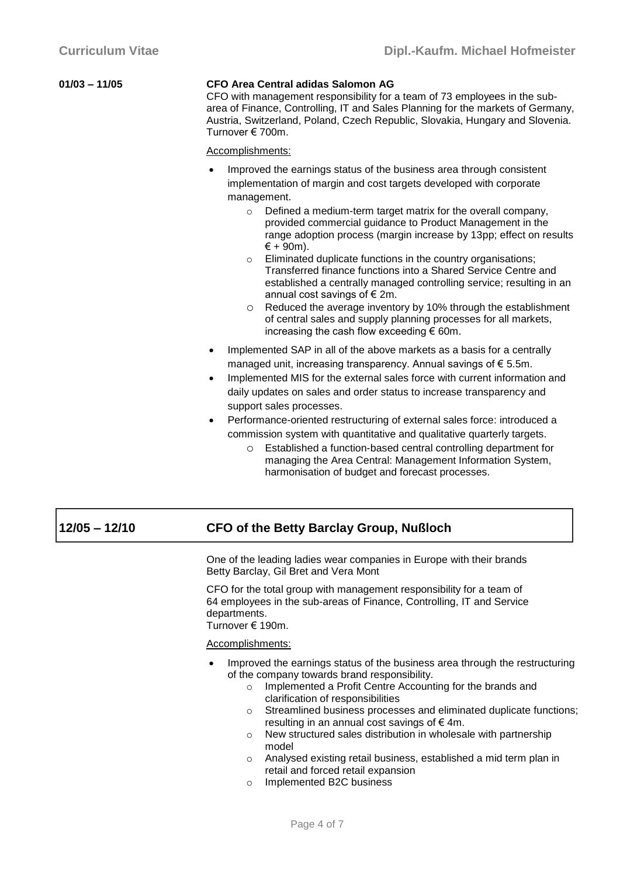| 01/03 - 11/05 | <b>CFO Area Central adidas Salomon AG</b><br>CFO with management responsibility for a team of 73 employees in the sub-<br>area of Finance, Controlling, IT and Sales Planning for the markets of Germany,<br>Austria, Switzerland, Poland, Czech Republic, Slovakia, Hungary and Slovenia.<br>Turnover € 700m. |
|---------------|----------------------------------------------------------------------------------------------------------------------------------------------------------------------------------------------------------------------------------------------------------------------------------------------------------------|
|               | Accomplishments:                                                                                                                                                                                                                                                                                               |

 Improved the earnings status of the business area through consistent implementation of margin and cost targets developed with corporate management.

- o Defined a medium-term target matrix for the overall company, provided commercial guidance to Product Management in the range adoption process (margin increase by 13pp; effect on results  $\epsilon$  + 90m).
- o Eliminated duplicate functions in the country organisations; Transferred finance functions into a Shared Service Centre and established a centrally managed controlling service; resulting in an annual cost savings of  $\epsilon$  2m.
- o Reduced the average inventory by 10% through the establishment of central sales and supply planning processes for all markets, increasing the cash flow exceeding  $\epsilon$  60m.
- Implemented SAP in all of the above markets as a basis for a centrally managed unit, increasing transparency. Annual savings of € 5.5m.
- Implemented MIS for the external sales force with current information and daily updates on sales and order status to increase transparency and support sales processes.
- Performance-oriented restructuring of external sales force: introduced a commission system with quantitative and qualitative quarterly targets.
	- o Established a function-based central controlling department for managing the Area Central: Management Information System, harmonisation of budget and forecast processes.

## **12/05 – 12/10 CFO of the Betty Barclay Group, Nußloch**

One of the leading ladies wear companies in Europe with their brands Betty Barclay, Gil Bret and Vera Mont

CFO for the total group with management responsibility for a team of 64 employees in the sub-areas of Finance, Controlling, IT and Service departments.

Turnover € 190m.

- Improved the earnings status of the business area through the restructuring of the company towards brand responsibility.
	- o Implemented a Profit Centre Accounting for the brands and clarification of responsibilities
	- o Streamlined business processes and eliminated duplicate functions; resulting in an annual cost savings of  $\epsilon$  4m.
	- o New structured sales distribution in wholesale with partnership model
	- o Analysed existing retail business, established a mid term plan in retail and forced retail expansion
	- o Implemented B2C business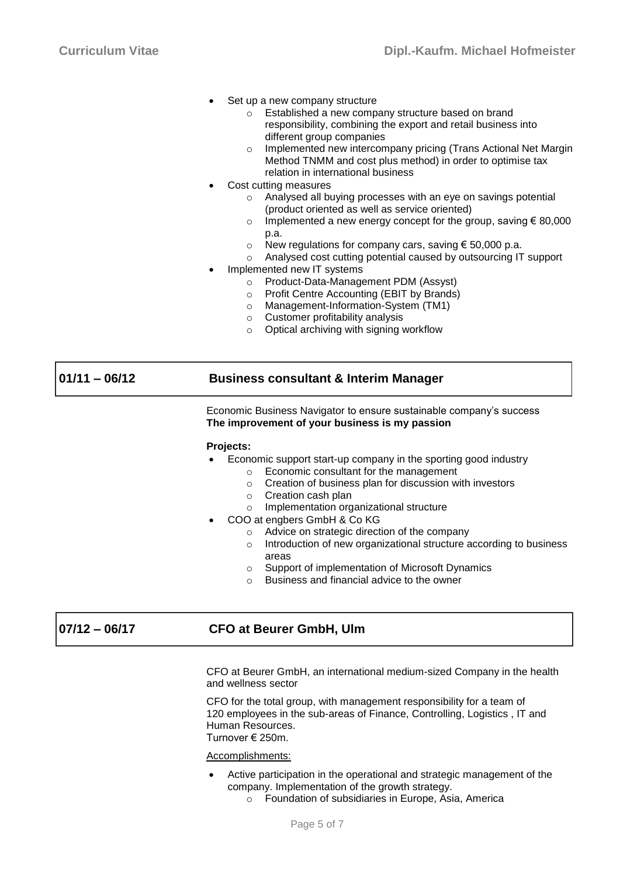- Set up a new company structure
	- o Established a new company structure based on brand responsibility, combining the export and retail business into different group companies
	- Implemented new intercompany pricing (Trans Actional Net Margin) Method TNMM and cost plus method) in order to optimise tax relation in international business
- Cost cutting measures
	- Analysed all buying processes with an eye on savings potential (product oriented as well as service oriented)
	- Implemented a new energy concept for the group, saving  $\epsilon$  80,000 p.a.
	- o New regulations for company cars, saving  $\epsilon$  50,000 p.a.
	- Analysed cost cutting potential caused by outsourcing IT support
- Implemented new IT systems
	- o Product-Data-Management PDM (Assyst)
	- o Profit Centre Accounting (EBIT by Brands)
	- o Management-Information-System (TM1)
	- o Customer profitability analysis
	- o Optical archiving with signing workflow

## **01/11 – 06/12 Business consultant & Interim Manager**

Economic Business Navigator to ensure sustainable company's success **The improvement of your business is my passion**

### **Projects:**

- Economic support start-up company in the sporting good industry
	- o Economic consultant for the management
	- o Creation of business plan for discussion with investors
	- o Creation cash plan
	- o Implementation organizational structure
- COO at engbers GmbH & Co KG
	- o Advice on strategic direction of the company
	- o Introduction of new organizational structure according to business areas
	- o Support of implementation of Microsoft Dynamics
	- o Business and financial advice to the owner

## **07/12 – 06/17 CFO at Beurer GmbH, Ulm**

CFO at Beurer GmbH, an international medium-sized Company in the health and wellness sector

CFO for the total group, with management responsibility for a team of 120 employees in the sub-areas of Finance, Controlling, Logistics , IT and Human Resources. Turnover € 250m.

- Active participation in the operational and strategic management of the company. Implementation of the growth strategy.
	- o Foundation of subsidiaries in Europe, Asia, America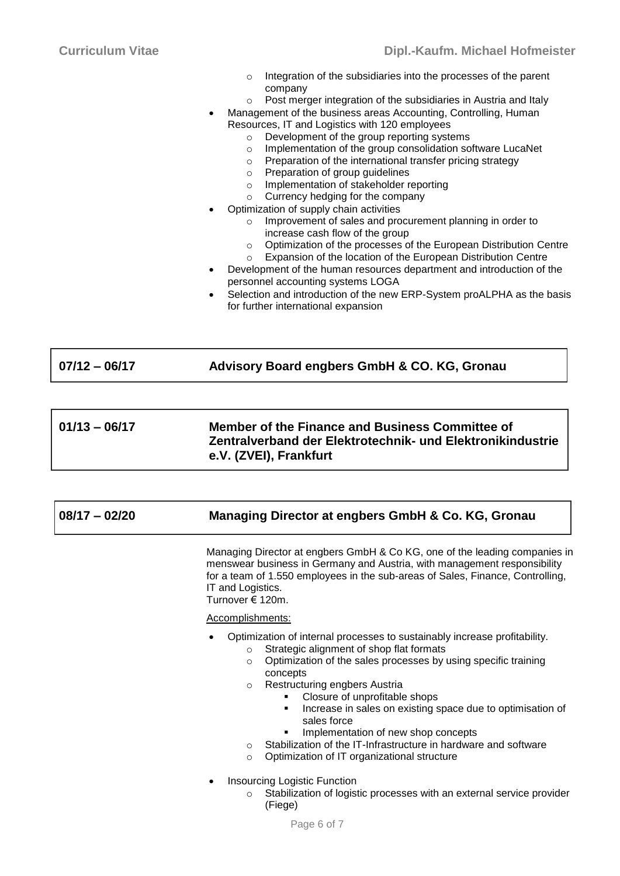| $\circ$ | Integration of the subsidiaries into the processes of the parent |
|---------|------------------------------------------------------------------|
|         | company                                                          |

- o Post merger integration of the subsidiaries in Austria and Italy
- Management of the business areas Accounting, Controlling, Human Resources, IT and Logistics with 120 employees
	- o Development of the group reporting systems
	- o Implementation of the group consolidation software LucaNet
	- o Preparation of the international transfer pricing strategy
	- o Preparation of group guidelines
	- o Implementation of stakeholder reporting
	- o Currency hedging for the company
	- Optimization of supply chain activities
		- o Improvement of sales and procurement planning in order to increase cash flow of the group
		- o Optimization of the processes of the European Distribution Centre
		- o Expansion of the location of the European Distribution Centre
	- Development of the human resources department and introduction of the personnel accounting systems LOGA
- Selection and introduction of the new ERP-System proALPHA as the basis for further international expansion

| $07/12 - 06/17$ | Advisory Board engbers GmbH & CO. KG, Gronau                                                                                            |  |  |
|-----------------|-----------------------------------------------------------------------------------------------------------------------------------------|--|--|
|                 |                                                                                                                                         |  |  |
| $01/13 - 06/17$ | Member of the Finance and Business Committee of<br>Zentralverband der Elektrotechnik- und Elektronikindustrie<br>e.V. (ZVEI), Frankfurt |  |  |

# **08/17 – 02/20 Managing Director at engbers GmbH & Co. KG, Gronau**

Managing Director at engbers GmbH & Co KG, one of the leading companies in menswear business in Germany and Austria, with management responsibility for a team of 1.550 employees in the sub-areas of Sales, Finance, Controlling, IT and Logistics. Turnover € 120m.

- Optimization of internal processes to sustainably increase profitability.
	- o Strategic alignment of shop flat formats
	- o Optimization of the sales processes by using specific training concepts
	- o Restructuring engbers Austria
		- Closure of unprofitable shops
		- **Increase in sales on existing space due to optimisation of** sales force
		- **Implementation of new shop concepts**
	- o Stabilization of the IT-Infrastructure in hardware and software
	- o Optimization of IT organizational structure
- Insourcing Logistic Function
	- o Stabilization of logistic processes with an external service provider (Fiege)